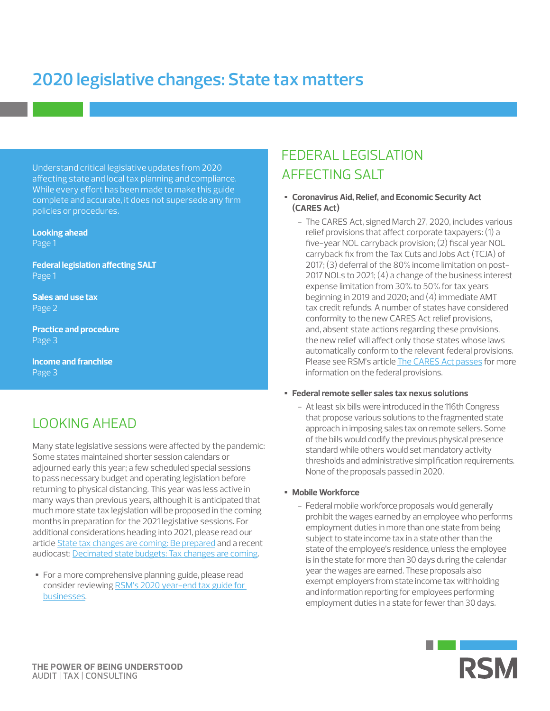# **2020 legislative changes: State tax matters**

Understand critical legislative updates from 2020 affecting state and local tax planning and compliance. While every effort has been made to make this guide complete and accurate, it does not supersede any firm policies or procedures.

**Looking ahead** Page 1

**Federal legislation affecting SALT** Page 1

**Sales and use tax**  Page 2

**Practice and procedure**  Page 3

**Income and franchise**  Page 3

# LOOKING AHEAD

Many state legislative sessions were affected by the pandemic: Some states maintained shorter session calendars or adjourned early this year; a few scheduled special sessions to pass necessary budget and operating legislation before returning to physical distancing. This year was less active in many ways than previous years, although it is anticipated that much more state tax legislation will be proposed in the coming months in preparation for the 2021 legislative sessions. For additional considerations heading into 2021, please read our article [State tax changes are coming: Be prepared](https://rsmus.com/what-we-do/services/tax/state-and-local-tax/income-and-franchise/state-tax-changes-are-coming-be-prepared.html) and a recent audiocast: [Decimated state budgets: Tax changes are coming.](https://rsmus.com/what-we-do/services/tax/state-and-local-tax/decimated-state-budgets-tax-changes-are-coming.html)

• For a more comprehensive planning guide, please read consider reviewing [RSM's 2020 year-end tax guide for](https://rsmus.com/what-we-do/services/tax/federal-tax/2020-year-end-tax-considerations-for-businesses.html)  [businesses.](https://rsmus.com/what-we-do/services/tax/federal-tax/2020-year-end-tax-considerations-for-businesses.html)

# FEDERAL LEGISLATION AFFECTING SALT

- **Coronavirus Aid, Relief, and Economic Security Act (CARES Act)**
	- The CARES Act, signed March 27, 2020, includes various relief provisions that affect corporate taxpayers: (1) a five-year NOL carryback provision; (2) fiscal year NOL carryback fix from the Tax Cuts and Jobs Act (TCJA) of 2017; (3) deferral of the 80% income limitation on post-2017 NOLs to 2021; (4) a change of the business interest expense limitation from 30% to 50% for tax years beginning in 2019 and 2020; and (4) immediate AMT tax credit refunds. A number of states have considered conformity to the new CARES Act relief provisions, and, absent state actions regarding these provisions, the new relief will affect only those states whose laws automatically conform to the relevant federal provisions. Please see RSM's article [The CARES Act passes](https://rsmus.com/what-we-do/services/tax/federal-tax/the-cares-act-passes-the-house-on-a-voice-vote.html) for more information on the federal provisions.

#### • **Federal remote seller sales tax nexus solutions**

- At least six bills were introduced in the 116th Congress that propose various solutions to the fragmented state approach in imposing sales tax on remote sellers. Some of the bills would codify the previous physical presence standard while others would set mandatory activity thresholds and administrative simplification requirements. None of the proposals passed in 2020.

#### • **Mobile Workforce**

- Federal mobile workforce proposals would generally prohibit the wages earned by an employee who performs employment duties in more than one state from being subject to state income tax in a state other than the state of the employee's residence, unless the employee is in the state for more than 30 days during the calendar year the wages are earned. These proposals also exempt employers from state income tax withholding and information reporting for employees performing employment duties in a state for fewer than 30 days.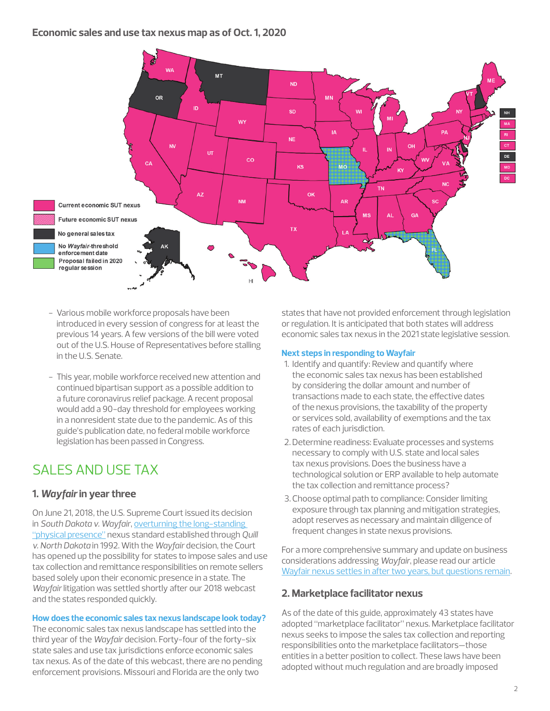# **Economic sales and use tax nexus map as of Oct. 1, 2020**



- Various mobile workforce proposals have been introduced in every session of congress for at least the previous 14 years. A few versions of the bill were voted out of the U.S. House of Representatives before stalling in the U.S. Senate.
- This year, mobile workforce received new attention and continued bipartisan support as a possible addition to a future coronavirus relief package. A recent proposal would add a 90-day threshold for employees working in a nonresident state due to the pandemic. As of this guide's publication date, no federal mobile workforce legislation has been passed in Congress.

# SALES AND USE TAX

# **1.** *Wayfair* **in year three**

On June 21, 2018, the U.S. Supreme Court issued its decision in *South Dakota v. Wayfair*, [overturning the long-standing](https://rsmus.com/what-we-do/services/tax/featured-topics/state-tax-nexus.html)  ["physical presence"](https://rsmus.com/what-we-do/services/tax/featured-topics/state-tax-nexus.html) nexus standard established through *Quill v. North Dakota* in 1992. With the *Wayfair* decision, the Court has opened up the possibility for states to impose sales and use tax collection and remittance responsibilities on remote sellers based solely upon their economic presence in a state. The *Wayfair* litigation was settled shortly after our 2018 webcast and the states responded quickly.

#### **How does the economic sales tax nexus landscape look today?**

The economic sales tax nexus landscape has settled into the third year of the *Wayfair* decision. Forty-four of the forty-six state sales and use tax jurisdictions enforce economic sales tax nexus. As of the date of this webcast, there are no pending enforcement provisions. Missouri and Florida are the only two

states that have not provided enforcement through legislation or regulation. It is anticipated that both states will address economic sales tax nexus in the 2021 state legislative session.

### **Next steps in responding to Wayfair**

- 1. Identify and quantify: Review and quantify where the economic sales tax nexus has been established by considering the dollar amount and number of transactions made to each state, the effective dates of the nexus provisions, the taxability of the property or services sold, availability of exemptions and the tax rates of each jurisdiction.
- 2.Determine readiness: Evaluate processes and systems necessary to comply with U.S. state and local sales tax nexus provisions. Does the business have a technological solution or ERP available to help automate the tax collection and remittance process?
- 3.Choose optimal path to compliance: Consider limiting exposure through tax planning and mitigation strategies, adopt reserves as necessary and maintain diligence of frequent changes in state nexus provisions.

For a more comprehensive summary and update on business considerations addressing *Wayfair*, please read our article [Wayfair nexus settles in after two years, but questions remain](https://rsmus.com/what-we-do/services/tax/indirect-tax/sales-and-use-tax/wayfair-nexus-settles-in-after-two-years-but-questions-remain.html).

# **2. Marketplace facilitator nexus**

As of the date of this guide, approximately 43 states have adopted "marketplace facilitator" nexus. Marketplace facilitator nexus seeks to impose the sales tax collection and reporting responsibilities onto the marketplace facilitators—those entities in a better position to collect. These laws have been adopted without much regulation and are broadly imposed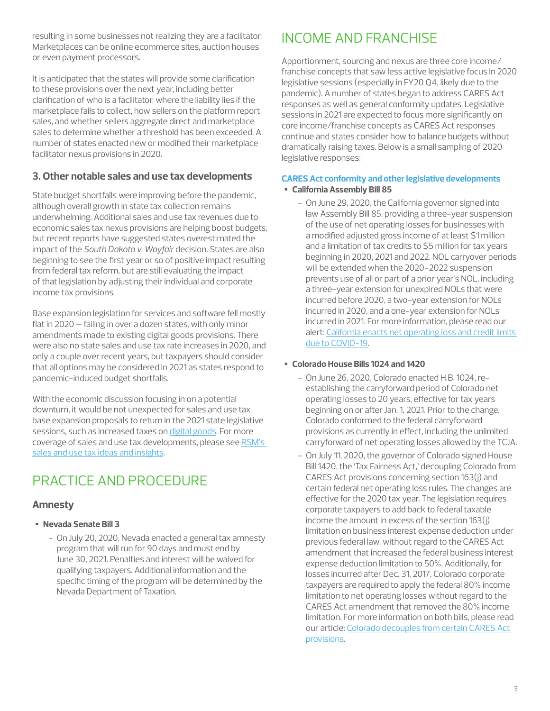resulting in some businesses not realizing they are a facilitator. Marketplaces can be online ecommerce sites, auction houses or even payment processors.

It is anticipated that the states will provide some clarification to these provisions over the next year, including better clarification of who is a facilitator, where the liability lies if the marketplace fails to collect, how sellers on the platform report sales, and whether sellers aggregate direct and marketplace sales to determine whether a threshold has been exceeded. A number of states enacted new or modified their marketplace facilitator nexus provisions in 2020.

# **3. Other notable sales and use tax developments**

State budget shortfalls were improving before the pandemic, although overall growth in state tax collection remains underwhelming. Additional sales and use tax revenues due to economic sales tax nexus provisions are helping boost budgets, but recent reports have suggested states overestimated the impact of the *South Dakota v. Wayfair* decision. States are also beginning to see the first year or so of positive impact resulting from federal tax reform, but are still evaluating the impact of that legislation by adjusting their individual and corporate income tax provisions.

Base expansion legislation for services and software fell mostly flat in 2020 – failing in over a dozen states, with only minor amendments made to existing digital goods provisions. There were also no state sales and use tax rate increases in 2020, and only a couple over recent years, but taxpayers should consider that all options may be considered in 2021 as states respond to pandemic-induced budget shortfalls.

With the economic discussion focusing in on a potential downturn, it would be not unexpected for sales and use tax base expansion proposals to return in the 2021 state legislative sessions, such as increased taxes on [digital goods.](https://rsmus.com/what-we-do/services/tax/state-and-local-tax/states-likely-to-turn-to-digital-taxes-to-cover-mounting-shortfa.html) For more coverage of sales and use tax developments, please see [RSM's](https://rsmus.com/our-insights.html?i=1;q=*;q1=Tax;q2=State+and+Local+Tax;q3=Sales+and+Use+Tax;sort=publishedDate;sp_q_16=RSM+Services;sp_q_required_16=-1;sp_x_16=content-type-1;view=xml;x1=s.services-1;x2=s.services-2;x3=s.services-3)  [sales and use tax ideas and insights.](https://rsmus.com/our-insights.html?i=1;q=*;q1=Tax;q2=State+and+Local+Tax;q3=Sales+and+Use+Tax;sort=publishedDate;sp_q_16=RSM+Services;sp_q_required_16=-1;sp_x_16=content-type-1;view=xml;x1=s.services-1;x2=s.services-2;x3=s.services-3)

# PRACTICE AND PROCEDURE

# **Amnesty**

- **Nevada Senate Bill 3**
	- On July 20, 2020, Nevada enacted a general tax amnesty program that will run for 90 days and must end by June 30, 2021. Penalties and interest will be waived for qualifying taxpayers. Additional information and the specific timing of the program will be determined by the Nevada Department of Taxation.

# INCOME AND FRANCHISE

Apportionment, sourcing and nexus are three core income/ franchise concepts that saw less active legislative focus in 2020 legislative sessions (especially in FY20 Q4, likely due to the pandemic). A number of states began to address CARES Act responses as well as general conformity updates. Legislative sessions in 2021 are expected to focus more significantly on core income/franchise concepts as CARES Act responses continue and states consider how to balance budgets without dramatically raising taxes. Below is a small sampling of 2020 legislative responses:

#### **CARES Act conformity and other legislative developments** • **California Assembly Bill 85**

- On June 29, 2020, the California governor signed into law Assembly Bill 85, providing a three-year suspension of the use of net operating losses for businesses with a modified adjusted gross income of at least \$1 million and a limitation of tax credits to \$5 million for tax years beginning in 2020, 2021 and 2022. NOL carryover periods will be extended when the 2020-2022 suspension prevents use of all or part of a prior year's NOL, including a three-year extension for unexpired NOLs that were incurred before 2020, a two-year extension for NOLs incurred in 2020, and a one-year extension for NOLs incurred in 2021. For more information, please read our alert: [California enacts net operating loss and credit limits](https://rsmus.com/what-we-do/services/tax/state-and-local-tax/income-and-franchise/california-enacts-net-operating-loss-and-credit-limits-due-to-co.html)  [due to COVID-19.](https://rsmus.com/what-we-do/services/tax/state-and-local-tax/income-and-franchise/california-enacts-net-operating-loss-and-credit-limits-due-to-co.html)

# • **Colorado House Bills 1024 and 1420**

- On June 26, 2020, Colorado enacted H.B. 1024, reestablishing the carryforward period of Colorado net operating losses to 20 years, effective for tax years beginning on or after Jan. 1, 2021. Prior to the change, Colorado conformed to the federal carryforward provisions as currently in effect, including the unlimited carryforward of net operating losses allowed by the TCJA.
- On July 11, 2020, the governor of Colorado signed House Bill 1420, the 'Tax Fairness Act,' decoupling Colorado from CARES Act provisions concerning section 163(j) and certain federal net operating loss rules. The changes are effective for the 2020 tax year. The legislation requires corporate taxpayers to add back to federal taxable income the amount in excess of the section 163(j) limitation on business interest expense deduction under previous federal law, without regard to the CARES Act amendment that increased the federal business interest expense deduction limitation to 50%. Additionally, for losses incurred after Dec. 31, 2017, Colorado corporate taxpayers are required to apply the federal 80% income limitation to net operating losses without regard to the CARES Act amendment that removed the 80% income limitation. For more information on both bills, please read our article: [Colorado decouples from certain CARES Act](https://rsmus.com/what-we-do/services/tax/state-and-local-tax/income-and-franchise/colorado-decouples-from-certain-cares-act-provisions.html)  [provisions.](https://rsmus.com/what-we-do/services/tax/state-and-local-tax/income-and-franchise/colorado-decouples-from-certain-cares-act-provisions.html)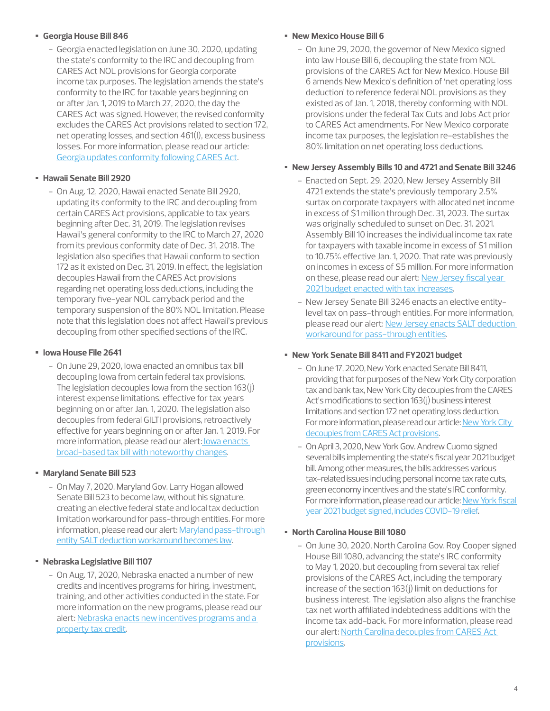# • **Georgia House Bill 846**

- Georgia enacted legislation on June 30, 2020, updating the state's conformity to the IRC and decoupling from CARES Act NOL provisions for Georgia corporate income tax purposes. The legislation amends the state's conformity to the IRC for taxable years beginning on or after Jan. 1, 2019 to March 27, 2020, the day the CARES Act was signed. However, the revised conformity excludes the CARES Act provisions related to section 172, net operating losses, and section 461(l), excess business losses. For more information, please read our article: [Georgia updates conformity following CARES Act](https://rsmus.com/what-we-do/services/tax/state-and-local-tax/income-and-franchise/georgia-updates-conformity-following-cares-act.html).

# • **Hawaii Senate Bill 2920**

- On Aug. 12, 2020, Hawaii enacted Senate Bill 2920, updating its conformity to the IRC and decoupling from certain CARES Act provisions, applicable to tax years beginning after Dec. 31, 2019. The legislation revises Hawaii's general conformity to the IRC to March 27, 2020 from its previous conformity date of Dec. 31, 2018. The legislation also specifies that Hawaii conform to section 172 as it existed on Dec. 31, 2019. In effect, the legislation decouples Hawaii from the CARES Act provisions regarding net operating loss deductions, including the temporary five-year NOL carryback period and the temporary suspension of the 80% NOL limitation. Please note that this legislation does not affect Hawaii's previous decoupling from other specified sections of the IRC.

# • **Iowa House File 2641**

- On June 29, 2020, Iowa enacted an omnibus tax bill decoupling Iowa from certain federal tax provisions. The legislation decouples Iowa from the section 163(j) interest expense limitations, effective for tax years beginning on or after Jan. 1, 2020. The legislation also decouples from federal GILTI provisions, retroactively effective for years beginning on or after Jan. 1, 2019. For more information, please read our alert[: Iowa enacts](https://rsmus.com/what-we-do/services/tax/state-and-local-tax/income-and-franchise/iowa-enacts-broad-based-tax-bill-with-noteworthy-changes.html)  [broad-based tax bill with noteworthy changes.](https://rsmus.com/what-we-do/services/tax/state-and-local-tax/income-and-franchise/iowa-enacts-broad-based-tax-bill-with-noteworthy-changes.html)

# • **Maryland Senate Bill 523**

- On May 7, 2020, Maryland Gov. Larry Hogan allowed Senate Bill 523 to become law, without his signature, creating an elective federal state and local tax deduction limitation workaround for pass-through entities. For more information, please read our alert: [Maryland pass-through](https://rsmus.com/what-we-do/services/tax/state-and-local-tax/income-and-franchise/maryland-pass-through-entity-salt-deduction-workaround-becomes-l.html)  [entity SALT deduction workaround becomes law.](https://rsmus.com/what-we-do/services/tax/state-and-local-tax/income-and-franchise/maryland-pass-through-entity-salt-deduction-workaround-becomes-l.html)

# • **Nebraska Legislative Bill 1107**

- On Aug. 17, 2020, Nebraska enacted a number of new credits and incentives programs for hiring, investment, training, and other activities conducted in the state. For more information on the new programs, please read our alert: Nebraska enacts new incentives programs and a [property tax credit](https://rsmus.com/what-we-do/services/tax/state-and-local-tax/income-and-franchise/nebraska-enacts-new-incentives-programs-and-a-property-tax-credi.html).

## • **New Mexico House Bill 6**

- On June 29, 2020, the governor of New Mexico signed into law House Bill 6, decoupling the state from NOL provisions of the CARES Act for New Mexico. House Bill 6 amends New Mexico's definition of 'net operating loss deduction' to reference federal NOL provisions as they existed as of Jan. 1, 2018, thereby conforming with NOL provisions under the federal Tax Cuts and Jobs Act prior to CARES Act amendments. For New Mexico corporate income tax purposes, the legislation re-establishes the 80% limitation on net operating loss deductions.

## • **New Jersey Assembly Bills 10 and 4721 and Senate Bill 3246**

- Enacted on Sept. 29, 2020, New Jersey Assembly Bill 4721 extends the state's previously temporary 2.5% surtax on corporate taxpayers with allocated net income in excess of \$1 million through Dec. 31, 2023. The surtax was originally scheduled to sunset on Dec. 31. 2021. Assembly Bill 10 increases the individual income tax rate for taxpayers with taxable income in excess of \$1 million to 10.75% effective Jan. 1, 2020. That rate was previously on incomes in excess of \$5 million. For more information on these, please read our alert: [New Jersey fiscal year](https://rsmus.com/what-we-do/services/tax/state-and-local-tax/income-and-franchise/new-jersey-fiscal-year-2021-budget-enacted-with-tax-increases.html)  [2021 budget enacted with tax increases](https://rsmus.com/what-we-do/services/tax/state-and-local-tax/income-and-franchise/new-jersey-fiscal-year-2021-budget-enacted-with-tax-increases.html).
- New Jersey Senate Bill 3246 enacts an elective entitylevel tax on pass-through entities. For more information, please read our alert: [New Jersey enacts SALT deduction](https://rsmus.com/what-we-do/services/tax/state-and-local-tax/income-and-franchise/new-jersey-enacts-salt-deduction-workaround-for-pass-through-ent.html)  [workaround for pass-through entities.](https://rsmus.com/what-we-do/services/tax/state-and-local-tax/income-and-franchise/new-jersey-enacts-salt-deduction-workaround-for-pass-through-ent.html)

# • **New York Senate Bill 8411 and FY2021 budget**

- On June 17, 2020, New York enacted Senate Bill 8411, providing that for purposes of the New York City corporation tax and bank tax, New York City decouples from the CARES Act's modifications to section 163(j) business interest limitations and section 172 net operating loss deduction. For more information, please read our article: [New York City](https://rsmus.com/what-we-do/services/tax/state-and-local-tax/income-and-franchise/new-york-city-decouples-from-cares-act-provisions.html)  [decouples from CARES Act provisions](https://rsmus.com/what-we-do/services/tax/state-and-local-tax/income-and-franchise/new-york-city-decouples-from-cares-act-provisions.html).
- On April 3, 2020, New York Gov. Andrew Cuomo signed several bills implementing the state's fiscal year 2021 budget bill. Among other measures, the bills addresses various tax-related issues including personal income tax rate cuts, green economy incentives and the state's IRC conformity. For more information, please read our article: [New York fiscal](https://rsmus.com/what-we-do/services/tax/state-and-local-tax/income-and-franchise/new-york-fiscal-year-2021-budget-signed-includes-covid-19-relief.html)  [year 2021 budget signed, includes COVID-19 relief](https://rsmus.com/what-we-do/services/tax/state-and-local-tax/income-and-franchise/new-york-fiscal-year-2021-budget-signed-includes-covid-19-relief.html).

# • **North Carolina House Bill 1080**

- On June 30, 2020, North Carolina Gov. Roy Cooper signed House Bill 1080, advancing the state's IRC conformity to May 1, 2020, but decoupling from several tax relief provisions of the CARES Act, including the temporary increase of the section 163(j) limit on deductions for business interest. The legislation also aligns the franchise tax net worth affiliated indebtedness additions with the income tax add-back. For more information, please read our alert: North Carolina decouples from CARES Act [provisions.](https://rsmus.com/what-we-do/services/tax/state-and-local-tax/income-and-franchise/north-carolina-decouples-from-cares-act-provisions.html)